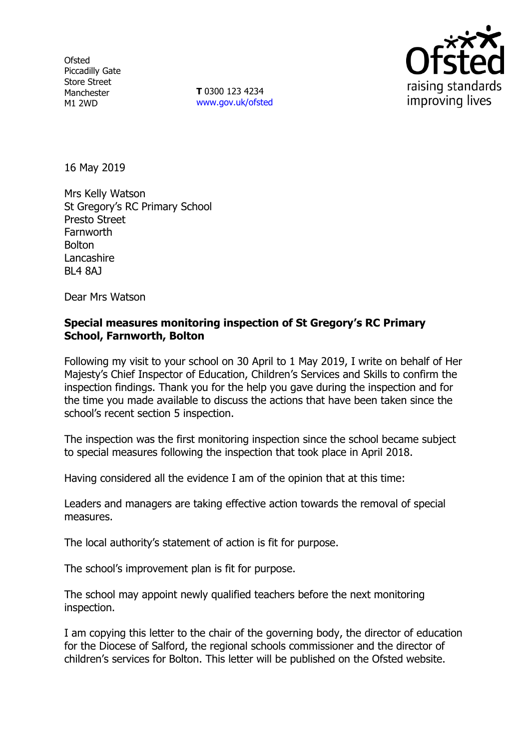**Ofsted** Piccadilly Gate Store Street Manchester M1 2WD

**T** 0300 123 4234 www.gov.uk/ofsted



16 May 2019

Mrs Kelly Watson St Gregory's RC Primary School Presto Street **Farnworth Bolton** Lancashire BL4 8AJ

Dear Mrs Watson

## **Special measures monitoring inspection of St Gregory's RC Primary School, Farnworth, Bolton**

Following my visit to your school on 30 April to 1 May 2019, I write on behalf of Her Majesty's Chief Inspector of Education, Children's Services and Skills to confirm the inspection findings. Thank you for the help you gave during the inspection and for the time you made available to discuss the actions that have been taken since the school's recent section 5 inspection.

The inspection was the first monitoring inspection since the school became subject to special measures following the inspection that took place in April 2018.

Having considered all the evidence I am of the opinion that at this time:

Leaders and managers are taking effective action towards the removal of special measures.

The local authority's statement of action is fit for purpose.

The school's improvement plan is fit for purpose.

The school may appoint newly qualified teachers before the next monitoring inspection.

I am copying this letter to the chair of the governing body, the director of education for the Diocese of Salford, the regional schools commissioner and the director of children's services for Bolton. This letter will be published on the Ofsted website.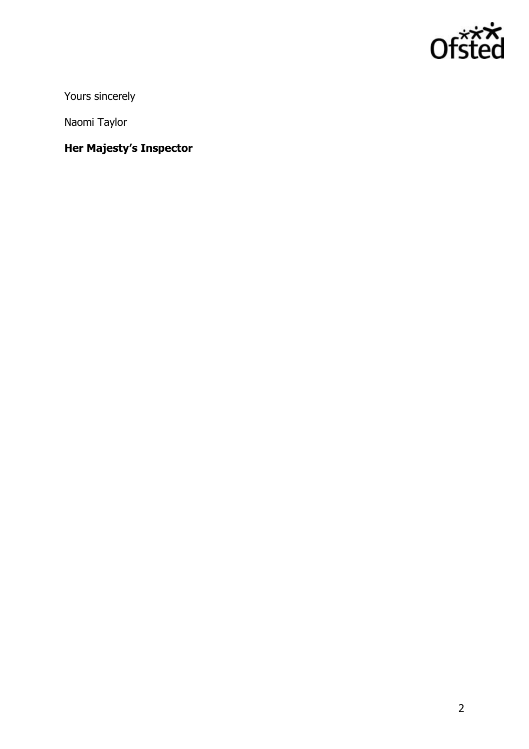

Yours sincerely

Naomi Taylor

**Her Majesty's Inspector**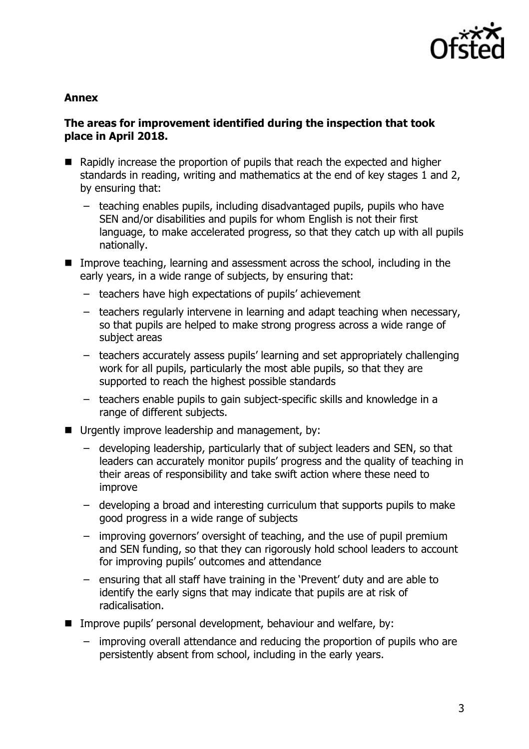

#### **Annex**

## **The areas for improvement identified during the inspection that took place in April 2018.**

- Rapidly increase the proportion of pupils that reach the expected and higher standards in reading, writing and mathematics at the end of key stages 1 and 2, by ensuring that:
	- teaching enables pupils, including disadvantaged pupils, pupils who have SEN and/or disabilities and pupils for whom English is not their first language, to make accelerated progress, so that they catch up with all pupils nationally.
- Improve teaching, learning and assessment across the school, including in the early years, in a wide range of subjects, by ensuring that:
	- teachers have high expectations of pupils' achievement
	- teachers regularly intervene in learning and adapt teaching when necessary, so that pupils are helped to make strong progress across a wide range of subject areas
	- teachers accurately assess pupils' learning and set appropriately challenging work for all pupils, particularly the most able pupils, so that they are supported to reach the highest possible standards
	- teachers enable pupils to gain subject-specific skills and knowledge in a range of different subjects.
- Urgently improve leadership and management, by:
	- developing leadership, particularly that of subject leaders and SEN, so that leaders can accurately monitor pupils' progress and the quality of teaching in their areas of responsibility and take swift action where these need to improve
	- developing a broad and interesting curriculum that supports pupils to make good progress in a wide range of subjects
	- improving governors' oversight of teaching, and the use of pupil premium and SEN funding, so that they can rigorously hold school leaders to account for improving pupils' outcomes and attendance
	- ensuring that all staff have training in the 'Prevent' duty and are able to identify the early signs that may indicate that pupils are at risk of radicalisation.
- **IMPROVE PUPILS' personal development, behaviour and welfare, by:** 
	- improving overall attendance and reducing the proportion of pupils who are persistently absent from school, including in the early years.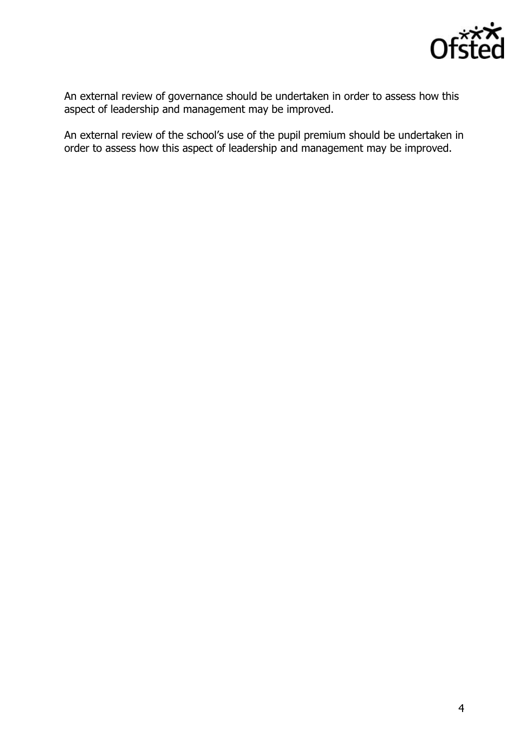

An external review of governance should be undertaken in order to assess how this aspect of leadership and management may be improved.

An external review of the school's use of the pupil premium should be undertaken in order to assess how this aspect of leadership and management may be improved.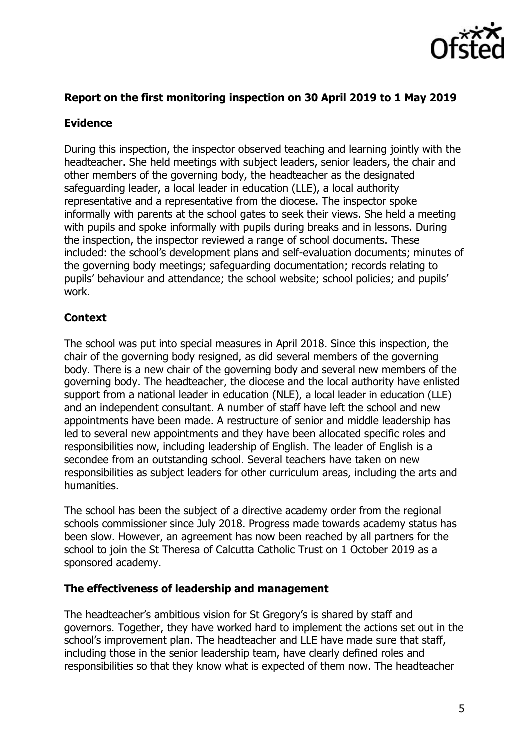

# **Report on the first monitoring inspection on 30 April 2019 to 1 May 2019**

# **Evidence**

During this inspection, the inspector observed teaching and learning jointly with the headteacher. She held meetings with subject leaders, senior leaders, the chair and other members of the governing body, the headteacher as the designated safeguarding leader, a local leader in education (LLE), a local authority representative and a representative from the diocese. The inspector spoke informally with parents at the school gates to seek their views. She held a meeting with pupils and spoke informally with pupils during breaks and in lessons. During the inspection, the inspector reviewed a range of school documents. These included: the school's development plans and self-evaluation documents; minutes of the governing body meetings; safeguarding documentation; records relating to pupils' behaviour and attendance; the school website; school policies; and pupils' work.

# **Context**

The school was put into special measures in April 2018. Since this inspection, the chair of the governing body resigned, as did several members of the governing body. There is a new chair of the governing body and several new members of the governing body. The headteacher, the diocese and the local authority have enlisted support from a national leader in education (NLE), a local leader in education (LLE) and an independent consultant. A number of staff have left the school and new appointments have been made. A restructure of senior and middle leadership has led to several new appointments and they have been allocated specific roles and responsibilities now, including leadership of English. The leader of English is a secondee from an outstanding school. Several teachers have taken on new responsibilities as subject leaders for other curriculum areas, including the arts and humanities.

The school has been the subject of a directive academy order from the regional schools commissioner since July 2018. Progress made towards academy status has been slow. However, an agreement has now been reached by all partners for the school to join the St Theresa of Calcutta Catholic Trust on 1 October 2019 as a sponsored academy.

## **The effectiveness of leadership and management**

The headteacher's ambitious vision for St Gregory's is shared by staff and governors. Together, they have worked hard to implement the actions set out in the school's improvement plan. The headteacher and LLE have made sure that staff, including those in the senior leadership team, have clearly defined roles and responsibilities so that they know what is expected of them now. The headteacher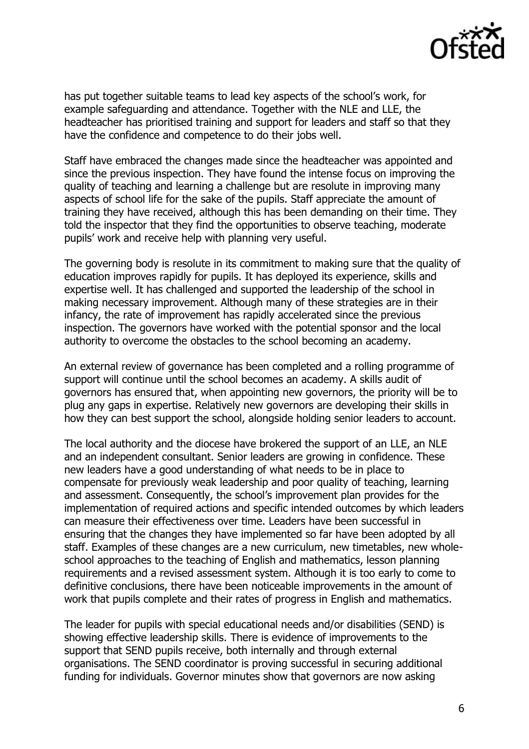

has put together suitable teams to lead key aspects of the school's work, for example safeguarding and attendance. Together with the NLE and LLE, the headteacher has prioritised training and support for leaders and staff so that they have the confidence and competence to do their jobs well.

Staff have embraced the changes made since the headteacher was appointed and since the previous inspection. They have found the intense focus on improving the quality of teaching and learning a challenge but are resolute in improving many aspects of school life for the sake of the pupils. Staff appreciate the amount of training they have received, although this has been demanding on their time. They told the inspector that they find the opportunities to observe teaching, moderate pupils' work and receive help with planning very useful.

The governing body is resolute in its commitment to making sure that the quality of education improves rapidly for pupils. It has deployed its experience, skills and expertise well. It has challenged and supported the leadership of the school in making necessary improvement. Although many of these strategies are in their infancy, the rate of improvement has rapidly accelerated since the previous inspection. The governors have worked with the potential sponsor and the local authority to overcome the obstacles to the school becoming an academy.

An external review of governance has been completed and a rolling programme of support will continue until the school becomes an academy. A skills audit of governors has ensured that, when appointing new governors, the priority will be to plug any gaps in expertise. Relatively new governors are developing their skills in how they can best support the school, alongside holding senior leaders to account.

The local authority and the diocese have brokered the support of an LLE, an NLE and an independent consultant. Senior leaders are growing in confidence. These new leaders have a good understanding of what needs to be in place to compensate for previously weak leadership and poor quality of teaching, learning and assessment. Consequently, the school's improvement plan provides for the implementation of required actions and specific intended outcomes by which leaders can measure their effectiveness over time. Leaders have been successful in ensuring that the changes they have implemented so far have been adopted by all staff. Examples of these changes are a new curriculum, new timetables, new wholeschool approaches to the teaching of English and mathematics, lesson planning requirements and a revised assessment system. Although it is too early to come to definitive conclusions, there have been noticeable improvements in the amount of work that pupils complete and their rates of progress in English and mathematics.

The leader for pupils with special educational needs and/or disabilities (SEND) is showing effective leadership skills. There is evidence of improvements to the support that SEND pupils receive, both internally and through external organisations. The SEND coordinator is proving successful in securing additional funding for individuals. Governor minutes show that governors are now asking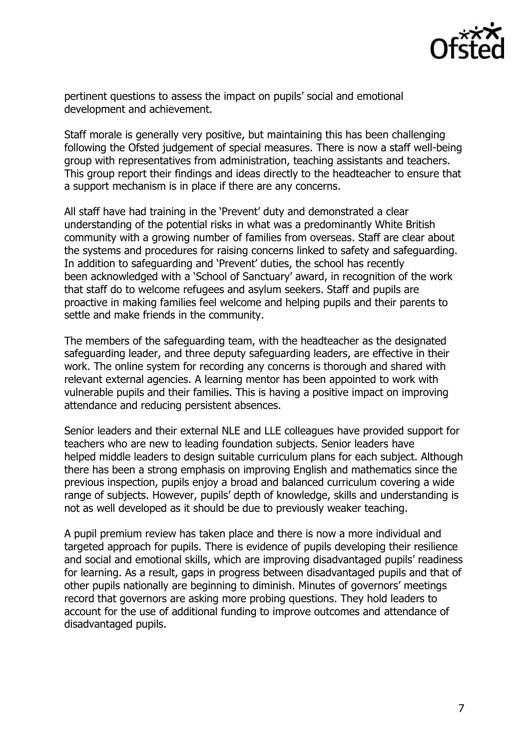

pertinent questions to assess the impact on pupils' social and emotional development and achievement.

Staff morale is generally very positive, but maintaining this has been challenging following the Ofsted judgement of special measures. There is now a staff well-being group with representatives from administration, teaching assistants and teachers. This group report their findings and ideas directly to the headteacher to ensure that a support mechanism is in place if there are any concerns.

All staff have had training in the 'Prevent' duty and demonstrated a clear understanding of the potential risks in what was a predominantly White British community with a growing number of families from overseas. Staff are clear about the systems and procedures for raising concerns linked to safety and safeguarding. In addition to safeguarding and 'Prevent' duties, the school has recently been acknowledged with a 'School of Sanctuary' award, in recognition of the work that staff do to welcome refugees and asylum seekers. Staff and pupils are proactive in making families feel welcome and helping pupils and their parents to settle and make friends in the community.

The members of the safeguarding team, with the headteacher as the designated safeguarding leader, and three deputy safeguarding leaders, are effective in their work. The online system for recording any concerns is thorough and shared with relevant external agencies. A learning mentor has been appointed to work with vulnerable pupils and their families. This is having a positive impact on improving attendance and reducing persistent absences.

Senior leaders and their external NLE and LLE colleagues have provided support for teachers who are new to leading foundation subjects. Senior leaders have helped middle leaders to design suitable curriculum plans for each subject. Although there has been a strong emphasis on improving English and mathematics since the previous inspection, pupils enjoy a broad and balanced curriculum covering a wide range of subjects. However, pupils' depth of knowledge, skills and understanding is not as well developed as it should be due to previously weaker teaching.

A pupil premium review has taken place and there is now a more individual and targeted approach for pupils. There is evidence of pupils developing their resilience and social and emotional skills, which are improving disadvantaged pupils' readiness for learning. As a result, gaps in progress between disadvantaged pupils and that of other pupils nationally are beginning to diminish. Minutes of governors' meetings record that governors are asking more probing questions. They hold leaders to account for the use of additional funding to improve outcomes and attendance of disadvantaged pupils.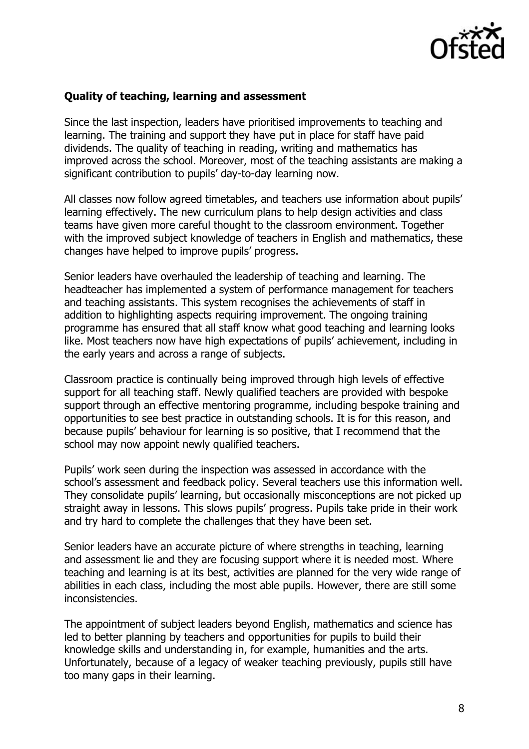

#### **Quality of teaching, learning and assessment**

Since the last inspection, leaders have prioritised improvements to teaching and learning. The training and support they have put in place for staff have paid dividends. The quality of teaching in reading, writing and mathematics has improved across the school. Moreover, most of the teaching assistants are making a significant contribution to pupils' day-to-day learning now.

All classes now follow agreed timetables, and teachers use information about pupils' learning effectively. The new curriculum plans to help design activities and class teams have given more careful thought to the classroom environment. Together with the improved subject knowledge of teachers in English and mathematics, these changes have helped to improve pupils' progress.

Senior leaders have overhauled the leadership of teaching and learning. The headteacher has implemented a system of performance management for teachers and teaching assistants. This system recognises the achievements of staff in addition to highlighting aspects requiring improvement. The ongoing training programme has ensured that all staff know what good teaching and learning looks like. Most teachers now have high expectations of pupils' achievement, including in the early years and across a range of subjects.

Classroom practice is continually being improved through high levels of effective support for all teaching staff. Newly qualified teachers are provided with bespoke support through an effective mentoring programme, including bespoke training and opportunities to see best practice in outstanding schools. It is for this reason, and because pupils' behaviour for learning is so positive, that I recommend that the school may now appoint newly qualified teachers.

Pupils' work seen during the inspection was assessed in accordance with the school's assessment and feedback policy. Several teachers use this information well. They consolidate pupils' learning, but occasionally misconceptions are not picked up straight away in lessons. This slows pupils' progress. Pupils take pride in their work and try hard to complete the challenges that they have been set.

Senior leaders have an accurate picture of where strengths in teaching, learning and assessment lie and they are focusing support where it is needed most. Where teaching and learning is at its best, activities are planned for the very wide range of abilities in each class, including the most able pupils. However, there are still some inconsistencies.

The appointment of subject leaders beyond English, mathematics and science has led to better planning by teachers and opportunities for pupils to build their knowledge skills and understanding in, for example, humanities and the arts. Unfortunately, because of a legacy of weaker teaching previously, pupils still have too many gaps in their learning.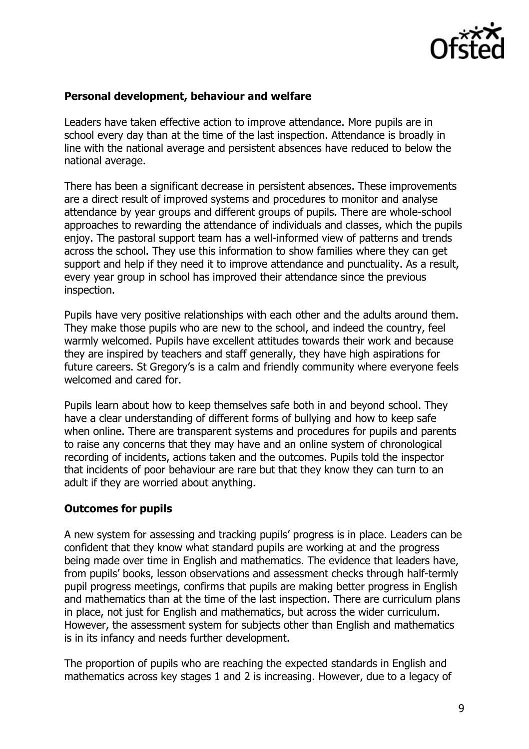

### **Personal development, behaviour and welfare**

Leaders have taken effective action to improve attendance. More pupils are in school every day than at the time of the last inspection. Attendance is broadly in line with the national average and persistent absences have reduced to below the national average.

There has been a significant decrease in persistent absences. These improvements are a direct result of improved systems and procedures to monitor and analyse attendance by year groups and different groups of pupils. There are whole-school approaches to rewarding the attendance of individuals and classes, which the pupils enjoy. The pastoral support team has a well-informed view of patterns and trends across the school. They use this information to show families where they can get support and help if they need it to improve attendance and punctuality. As a result, every year group in school has improved their attendance since the previous inspection.

Pupils have very positive relationships with each other and the adults around them. They make those pupils who are new to the school, and indeed the country, feel warmly welcomed. Pupils have excellent attitudes towards their work and because they are inspired by teachers and staff generally, they have high aspirations for future careers. St Gregory's is a calm and friendly community where everyone feels welcomed and cared for.

Pupils learn about how to keep themselves safe both in and beyond school. They have a clear understanding of different forms of bullying and how to keep safe when online. There are transparent systems and procedures for pupils and parents to raise any concerns that they may have and an online system of chronological recording of incidents, actions taken and the outcomes. Pupils told the inspector that incidents of poor behaviour are rare but that they know they can turn to an adult if they are worried about anything.

#### **Outcomes for pupils**

A new system for assessing and tracking pupils' progress is in place. Leaders can be confident that they know what standard pupils are working at and the progress being made over time in English and mathematics. The evidence that leaders have, from pupils' books, lesson observations and assessment checks through half-termly pupil progress meetings, confirms that pupils are making better progress in English and mathematics than at the time of the last inspection. There are curriculum plans in place, not just for English and mathematics, but across the wider curriculum. However, the assessment system for subjects other than English and mathematics is in its infancy and needs further development.

The proportion of pupils who are reaching the expected standards in English and mathematics across key stages 1 and 2 is increasing. However, due to a legacy of